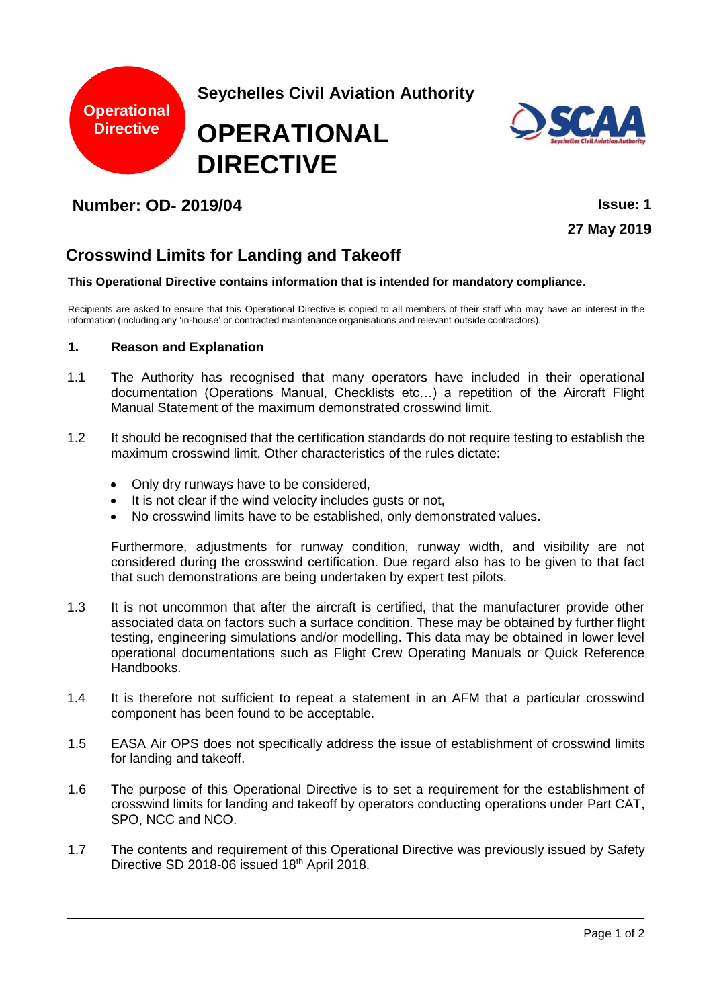



# **Number: OD- 2019/04 Issue: 1**

**27 May 2019**

# **Crosswind Limits for Landing and Takeoff**

#### **This Operational Directive contains information that is intended for mandatory compliance.**

Recipients are asked to ensure that this Operational Directive is copied to all members of their staff who may have an interest in the information (including any 'in-house' or contracted maintenance organisations and relevant outside contractors).

#### **1. Reason and Explanation**

- 1.1 The Authority has recognised that many operators have included in their operational documentation (Operations Manual, Checklists etc…) a repetition of the Aircraft Flight Manual Statement of the maximum demonstrated crosswind limit.
- 1.2 It should be recognised that the certification standards do not require testing to establish the maximum crosswind limit. Other characteristics of the rules dictate:
	- Only dry runways have to be considered,
	- It is not clear if the wind velocity includes gusts or not,
	- No crosswind limits have to be established, only demonstrated values.

Furthermore, adjustments for runway condition, runway width, and visibility are not considered during the crosswind certification. Due regard also has to be given to that fact that such demonstrations are being undertaken by expert test pilots.

- 1.3 It is not uncommon that after the aircraft is certified, that the manufacturer provide other associated data on factors such a surface condition. These may be obtained by further flight testing, engineering simulations and/or modelling. This data may be obtained in lower level operational documentations such as Flight Crew Operating Manuals or Quick Reference Handbooks.
- 1.4 It is therefore not sufficient to repeat a statement in an AFM that a particular crosswind component has been found to be acceptable.
- 1.5 EASA Air OPS does not specifically address the issue of establishment of crosswind limits for landing and takeoff.
- 1.6 The purpose of this Operational Directive is to set a requirement for the establishment of crosswind limits for landing and takeoff by operators conducting operations under Part CAT, SPO, NCC and NCO.
- 1.7 The contents and requirement of this Operational Directive was previously issued by Safety Directive SD 2018-06 issued 18th April 2018.